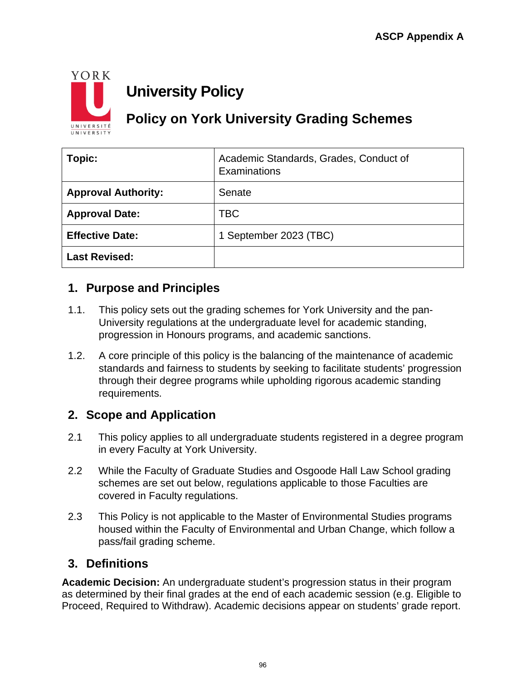

# **University Policy**

# **Policy on York University Grading Schemes**

| Topic:                     | Academic Standards, Grades, Conduct of<br>Examinations |
|----------------------------|--------------------------------------------------------|
| <b>Approval Authority:</b> | Senate                                                 |
| <b>Approval Date:</b>      | TBC                                                    |
| <b>Effective Date:</b>     | 1 September 2023 (TBC)                                 |
| <b>Last Revised:</b>       |                                                        |

# **1. Purpose and Principles**

- 1.1. This policy sets out the grading schemes for York University and the pan-University regulations at the undergraduate level for academic standing, progression in Honours programs, and academic sanctions.
- 1.2. A core principle of this policy is the balancing of the maintenance of academic standards and fairness to students by seeking to facilitate students' progression through their degree programs while upholding rigorous academic standing requirements.

# **2. Scope and Application**

- 2.1 This policy applies to all undergraduate students registered in a degree program in every Faculty at York University.
- 2.2 While the Faculty of Graduate Studies and Osgoode Hall Law School grading schemes are set out below, regulations applicable to those Faculties are covered in Faculty regulations.
- 2.3 This Policy is not applicable to the Master of Environmental Studies programs housed within the Faculty of Environmental and Urban Change, which follow a pass/fail grading scheme.

# **3. Definitions**

**Academic Decision:** An undergraduate student's progression status in their program as determined by their final grades at the end of each academic session (e.g. Eligible to Proceed, Required to Withdraw). Academic decisions appear on students' grade report.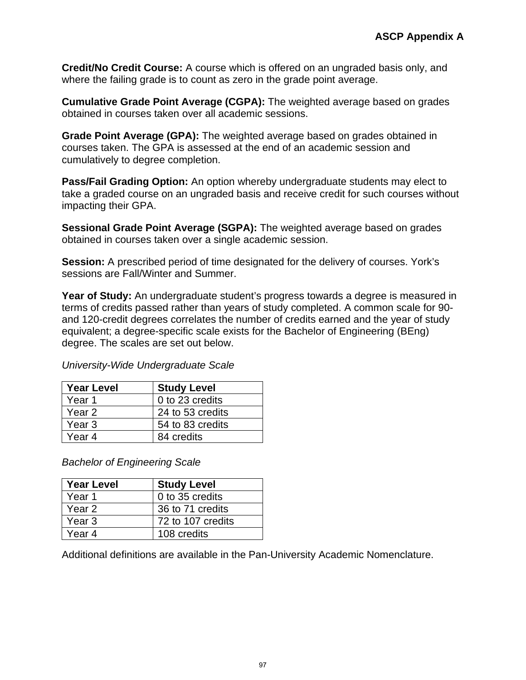**Credit/No Credit Course:** A course which is offered on an ungraded basis only, and where the failing grade is to count as zero in the grade point average.

**Cumulative Grade Point Average (CGPA):** The weighted average based on grades obtained in courses taken over all academic sessions.

**Grade Point Average (GPA):** The weighted average based on grades obtained in courses taken. The GPA is assessed at the end of an academic session and cumulatively to degree completion.

**Pass/Fail Grading Option:** An option whereby undergraduate students may elect to take a graded course on an ungraded basis and receive credit for such courses without impacting their GPA.

**Sessional Grade Point Average (SGPA):** The weighted average based on grades obtained in courses taken over a single academic session.

**Session:** A prescribed period of time designated for the delivery of courses. York's sessions are Fall/Winter and Summer.

**Year of Study:** An undergraduate student's progress towards a degree is measured in terms of credits passed rather than years of study completed. A common scale for 90 and 120-credit degrees correlates the number of credits earned and the year of study equivalent; a degree-specific scale exists for the Bachelor of Engineering (BEng) degree. The scales are set out below.

| <b>Year Level</b> | <b>Study Level</b> |
|-------------------|--------------------|
| Year 1            | 0 to 23 credits    |
| Year 2            | 24 to 53 credits   |
| Year 3            | 54 to 83 credits   |
| Year 4            | 84 credits         |

*University-Wide Undergraduate Scale*

*Bachelor of Engineering Scale*

| <b>Year Level</b> | <b>Study Level</b> |
|-------------------|--------------------|
| Year 1            | 0 to 35 credits    |
| Year 2            | 36 to 71 credits   |
| Year <sub>3</sub> | 72 to 107 credits  |
| Year 4            | 108 credits        |

Additional definitions are available in the Pan-University Academic Nomenclature.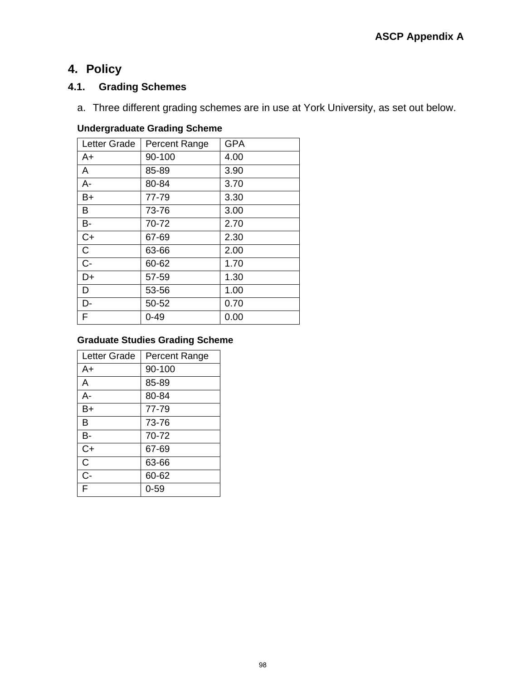# **4. Policy**

## **4.1. Grading Schemes**

a. Three different grading schemes are in use at York University, as set out below.

#### **Undergraduate Grading Scheme**

| Letter Grade | Percent Range | <b>GPA</b> |
|--------------|---------------|------------|
| $A+$         | 90-100        | 4.00       |
| A            | 85-89         | 3.90       |
| $A -$        | 80-84         | 3.70       |
| $B+$         | 77-79         | 3.30       |
| B            | 73-76         | 3.00       |
| <b>B-</b>    | 70-72         | 2.70       |
| $C+$         | 67-69         | 2.30       |
| $\mathsf{C}$ | 63-66         | 2.00       |
| $C -$        | 60-62         | 1.70       |
| D+           | 57-59         | 1.30       |
| D            | 53-56         | 1.00       |
| D-           | 50-52         | 0.70       |
| F            | $0 - 49$      | 0.00       |

### **Graduate Studies Grading Scheme**

| Letter Grade | <b>Percent Range</b> |
|--------------|----------------------|
| A+           | 90-100               |
| A            | 85-89                |
| А-           | 80-84                |
| B+           | 77-79                |
| B            | 73-76                |
| B-           | 70-72                |
| $C+$         | 67-69                |
| C            | 63-66                |
| C-           | 60-62                |
| F            | $0 - 59$             |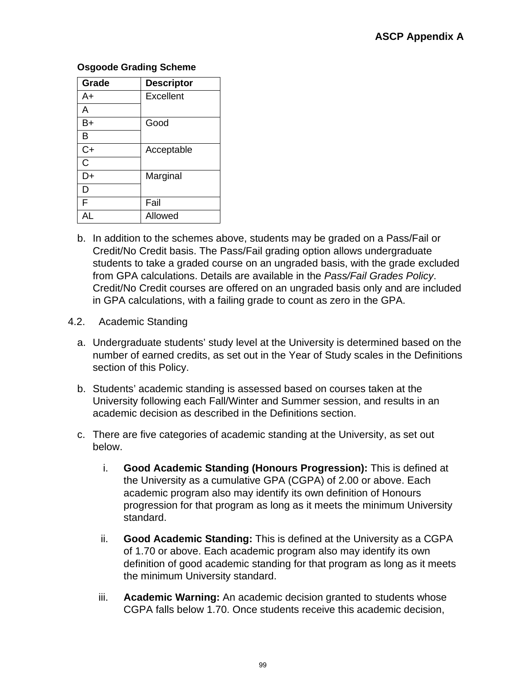#### **Osgoode Grading Scheme**

| Grade | <b>Descriptor</b> |
|-------|-------------------|
| A+    | Excellent         |
| A     |                   |
| B+    | Good              |
| в     |                   |
| $C+$  | Acceptable        |
| C     |                   |
| D+    | Marginal          |
| D     |                   |
| F     | Fail              |
| ΔI    | Allowed           |

- b. In addition to the schemes above, students may be graded on a Pass/Fail or Credit/No Credit basis. The Pass/Fail grading option allows undergraduate students to take a graded course on an ungraded basis, with the grade excluded from GPA calculations. Details are available in the *Pass/Fail Grades Policy*. Credit/No Credit courses are offered on an ungraded basis only and are included in GPA calculations, with a failing grade to count as zero in the GPA.
- 4.2. Academic Standing
	- a. Undergraduate students' study level at the University is determined based on the number of earned credits, as set out in the Year of Study scales in the Definitions section of this Policy.
	- b. Students' academic standing is assessed based on courses taken at the University following each Fall/Winter and Summer session, and results in an academic decision as described in the Definitions section.
	- c. There are five categories of academic standing at the University, as set out below.
		- i. **Good Academic Standing (Honours Progression):** This is defined at the University as a cumulative GPA (CGPA) of 2.00 or above. Each academic program also may identify its own definition of Honours progression for that program as long as it meets the minimum University standard.
		- ii. **Good Academic Standing:** This is defined at the University as a CGPA of 1.70 or above. Each academic program also may identify its own definition of good academic standing for that program as long as it meets the minimum University standard.
		- iii. **Academic Warning:** An academic decision granted to students whose CGPA falls below 1.70. Once students receive this academic decision,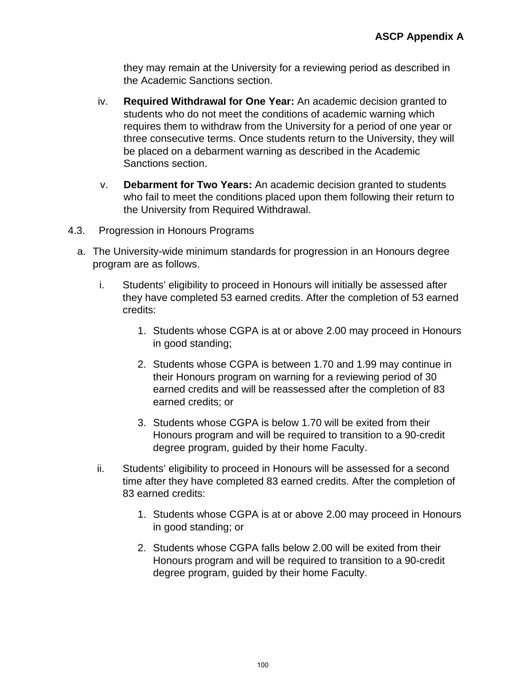they may remain at the University for a reviewing period as described in the Academic Sanctions section.

- iv. **Required Withdrawal for One Year:** An academic decision granted to students who do not meet the conditions of academic warning which requires them to withdraw from the University for a period of one year or three consecutive terms. Once students return to the University, they will be placed on a debarment warning as described in the Academic Sanctions section.
- v. **Debarment for Two Years:** An academic decision granted to students who fail to meet the conditions placed upon them following their return to the University from Required Withdrawal.
- 4.3. Progression in Honours Programs
	- a. The University-wide minimum standards for progression in an Honours degree program are as follows.
		- i. Students' eligibility to proceed in Honours will initially be assessed after they have completed 53 earned credits. After the completion of 53 earned credits:
			- 1. Students whose CGPA is at or above 2.00 may proceed in Honours in good standing;
			- 2. Students whose CGPA is between 1.70 and 1.99 may continue in their Honours program on warning for a reviewing period of 30 earned credits and will be reassessed after the completion of 83 earned credits; or
			- 3. Students whose CGPA is below 1.70 will be exited from their Honours program and will be required to transition to a 90-credit degree program, guided by their home Faculty.
		- ii. Students' eligibility to proceed in Honours will be assessed for a second time after they have completed 83 earned credits. After the completion of 83 earned credits:
			- 1. Students whose CGPA is at or above 2.00 may proceed in Honours in good standing; or
			- 2. Students whose CGPA falls below 2.00 will be exited from their Honours program and will be required to transition to a 90-credit degree program, guided by their home Faculty.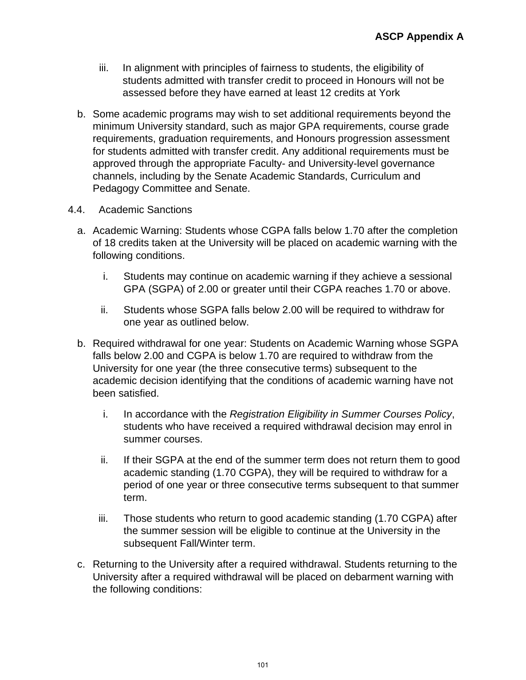- iii. In alignment with principles of fairness to students, the eligibility of students admitted with transfer credit to proceed in Honours will not be assessed before they have earned at least 12 credits at York
- b. Some academic programs may wish to set additional requirements beyond the minimum University standard, such as major GPA requirements, course grade requirements, graduation requirements, and Honours progression assessment for students admitted with transfer credit. Any additional requirements must be approved through the appropriate Faculty- and University-level governance channels, including by the Senate Academic Standards, Curriculum and Pedagogy Committee and Senate.
- 4.4. Academic Sanctions
	- a. Academic Warning: Students whose CGPA falls below 1.70 after the completion of 18 credits taken at the University will be placed on academic warning with the following conditions.
		- i. Students may continue on academic warning if they achieve a sessional GPA (SGPA) of 2.00 or greater until their CGPA reaches 1.70 or above.
		- ii. Students whose SGPA falls below 2.00 will be required to withdraw for one year as outlined below.
	- b. Required withdrawal for one year: Students on Academic Warning whose SGPA falls below 2.00 and CGPA is below 1.70 are required to withdraw from the University for one year (the three consecutive terms) subsequent to the academic decision identifying that the conditions of academic warning have not been satisfied.
		- i. In accordance with the *Registration Eligibility in Summer Courses Policy*, students who have received a required withdrawal decision may enrol in summer courses.
		- ii. If their SGPA at the end of the summer term does not return them to good academic standing (1.70 CGPA), they will be required to withdraw for a period of one year or three consecutive terms subsequent to that summer term.
		- iii. Those students who return to good academic standing (1.70 CGPA) after the summer session will be eligible to continue at the University in the subsequent Fall/Winter term.
	- c. Returning to the University after a required withdrawal. Students returning to the University after a required withdrawal will be placed on debarment warning with the following conditions: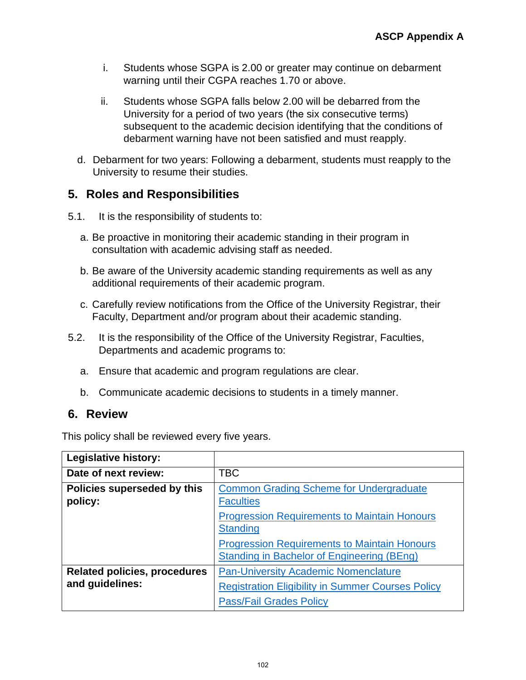- i. Students whose SGPA is 2.00 or greater may continue on debarment warning until their CGPA reaches 1.70 or above.
- ii. Students whose SGPA falls below 2.00 will be debarred from the University for a period of two years (the six consecutive terms) subsequent to the academic decision identifying that the conditions of debarment warning have not been satisfied and must reapply.
- d. Debarment for two years: Following a debarment, students must reapply to the University to resume their studies.

# **5. Roles and Responsibilities**

- 5.1. It is the responsibility of students to:
	- a. Be proactive in monitoring their academic standing in their program in consultation with academic advising staff as needed.
	- b. Be aware of the University academic standing requirements as well as any additional requirements of their academic program.
	- c. Carefully review notifications from the Office of the University Registrar, their Faculty, Department and/or program about their academic standing.
- 5.2. It is the responsibility of the Office of the University Registrar, Faculties, Departments and academic programs to:
	- a. Ensure that academic and program regulations are clear.
	- b. Communicate academic decisions to students in a timely manner.

### **6. Review**

This policy shall be reviewed every five years.

| <b>Legislative history:</b>                            |                                                                                                                                           |
|--------------------------------------------------------|-------------------------------------------------------------------------------------------------------------------------------------------|
| Date of next review:                                   | <b>TBC</b>                                                                                                                                |
| Policies superseded by this<br>policy:                 | <b>Common Grading Scheme for Undergraduate</b><br><b>Faculties</b>                                                                        |
|                                                        | <b>Progression Requirements to Maintain Honours</b><br><b>Standing</b>                                                                    |
|                                                        | <b>Progression Requirements to Maintain Honours</b><br><b>Standing in Bachelor of Engineering (BEng)</b>                                  |
| <b>Related policies, procedures</b><br>and guidelines: | <b>Pan-University Academic Nomenclature</b><br><b>Registration Eligibility in Summer Courses Policy</b><br><b>Pass/Fail Grades Policy</b> |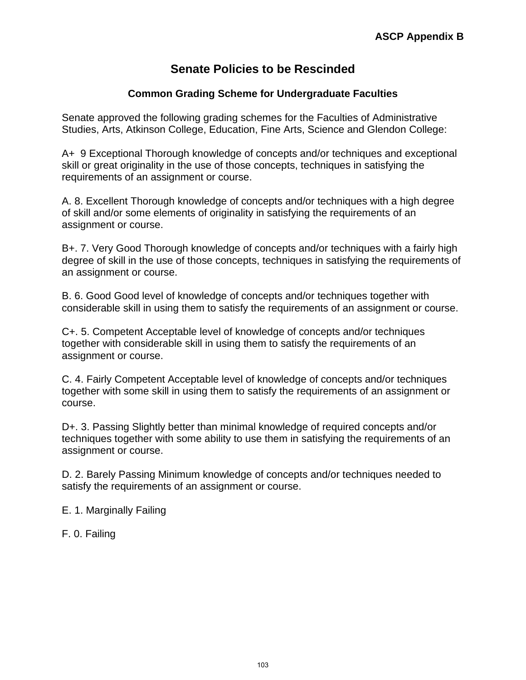## **Senate Policies to be Rescinded**

### **Common Grading Scheme for Undergraduate Faculties**

Senate approved the following grading schemes for the Faculties of Administrative Studies, Arts, Atkinson College, Education, Fine Arts, Science and Glendon College:

A+ 9 Exceptional Thorough knowledge of concepts and/or techniques and exceptional skill or great originality in the use of those concepts, techniques in satisfying the requirements of an assignment or course.

A. 8. Excellent Thorough knowledge of concepts and/or techniques with a high degree of skill and/or some elements of originality in satisfying the requirements of an assignment or course.

B+. 7. Very Good Thorough knowledge of concepts and/or techniques with a fairly high degree of skill in the use of those concepts, techniques in satisfying the requirements of an assignment or course.

B. 6. Good Good level of knowledge of concepts and/or techniques together with considerable skill in using them to satisfy the requirements of an assignment or course.

C+. 5. Competent Acceptable level of knowledge of concepts and/or techniques together with considerable skill in using them to satisfy the requirements of an assignment or course.

C. 4. Fairly Competent Acceptable level of knowledge of concepts and/or techniques together with some skill in using them to satisfy the requirements of an assignment or course.

D+. 3. Passing Slightly better than minimal knowledge of required concepts and/or techniques together with some ability to use them in satisfying the requirements of an assignment or course.

D. 2. Barely Passing Minimum knowledge of concepts and/or techniques needed to satisfy the requirements of an assignment or course.

E. 1. Marginally Failing

F. 0. Failing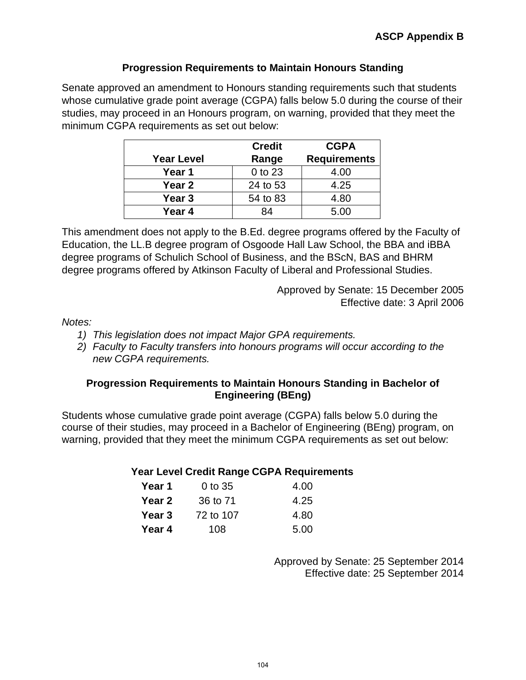### **Progression Requirements to Maintain Honours Standing**

Senate approved an amendment to Honours standing requirements such that students whose cumulative grade point average (CGPA) falls below 5.0 during the course of their studies, may proceed in an Honours program, on warning, provided that they meet the minimum CGPA requirements as set out below:

|                   | <b>Credit</b> | <b>CGPA</b>         |
|-------------------|---------------|---------------------|
| <b>Year Level</b> | Range         | <b>Requirements</b> |
| Year 1            | 0 to 23       | 4.00                |
| Year 2            | 24 to 53      | 4.25                |
| Year 3            | 54 to 83      | 4.80                |
| Year 4            | 84            | 5.00                |

This amendment does not apply to the B.Ed. degree programs offered by the Faculty of Education, the LL.B degree program of Osgoode Hall Law School, the BBA and iBBA degree programs of Schulich School of Business, and the BScN, BAS and BHRM degree programs offered by Atkinson Faculty of Liberal and Professional Studies.

> Approved by Senate: 15 December 2005 Effective date: 3 April 2006

### *Notes:*

- *1) This legislation does not impact Major GPA requirements.*
- *2) Faculty to Faculty transfers into honours programs will occur according to the new CGPA requirements.*

### **Progression Requirements to Maintain Honours Standing in Bachelor of Engineering (BEng)**

Students whose cumulative grade point average (CGPA) falls below 5.0 during the course of their studies, may proceed in a Bachelor of Engineering (BEng) program, on warning, provided that they meet the minimum CGPA requirements as set out below:

### **Year Level Credit Range CGPA Requirements**

| Year 1        | 0 to 35   | 4.00 |
|---------------|-----------|------|
| <b>Year 2</b> | 36 to 71  | 4.25 |
| Year 3        | 72 to 107 | 4.80 |
| Year 4        | 108       | 5.00 |

Approved by Senate: 25 September 2014 Effective date: 25 September 2014